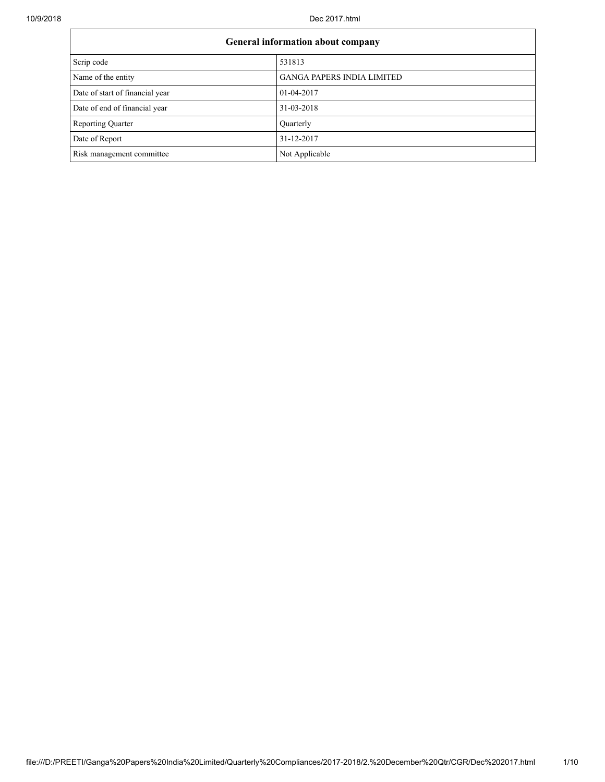10/9/2018 Dec 2017.html

٦

| General information about company |                                   |  |  |  |
|-----------------------------------|-----------------------------------|--|--|--|
| Scrip code                        | 531813                            |  |  |  |
| Name of the entity                | <b>GANGA PAPERS INDIA LIMITED</b> |  |  |  |
| Date of start of financial year   | 01-04-2017                        |  |  |  |
| Date of end of financial year     | 31-03-2018                        |  |  |  |
| <b>Reporting Quarter</b>          | Quarterly                         |  |  |  |
| Date of Report                    | 31-12-2017                        |  |  |  |
| Risk management committee         | Not Applicable                    |  |  |  |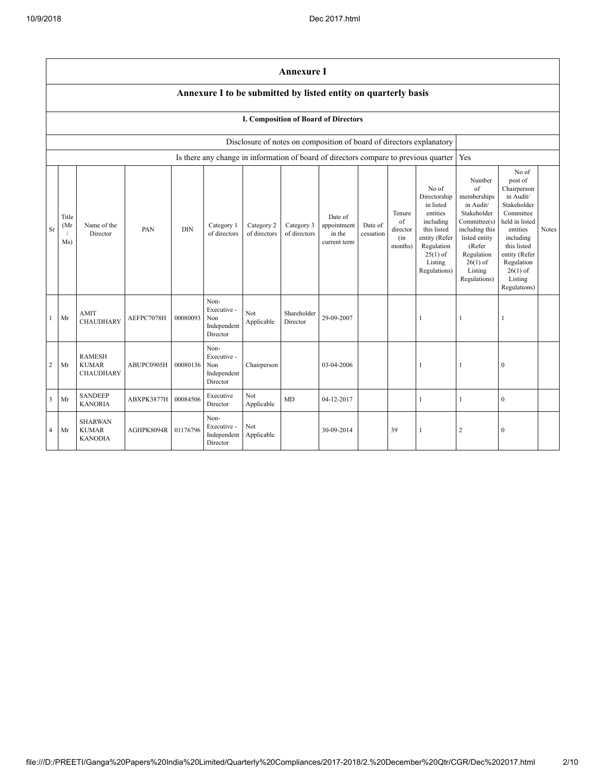|              | <b>Annexure I</b>                                                                                                                                                                                                                                                                                                                                                                                                                              |                                                   |                     |          |                                                                                      |                   |                                                                                                                                                                             |                                                                                                                                                                                                            |              |    |              |                |              |  |
|--------------|------------------------------------------------------------------------------------------------------------------------------------------------------------------------------------------------------------------------------------------------------------------------------------------------------------------------------------------------------------------------------------------------------------------------------------------------|---------------------------------------------------|---------------------|----------|--------------------------------------------------------------------------------------|-------------------|-----------------------------------------------------------------------------------------------------------------------------------------------------------------------------|------------------------------------------------------------------------------------------------------------------------------------------------------------------------------------------------------------|--------------|----|--------------|----------------|--------------|--|
|              | Annexure I to be submitted by listed entity on quarterly basis                                                                                                                                                                                                                                                                                                                                                                                 |                                                   |                     |          |                                                                                      |                   |                                                                                                                                                                             |                                                                                                                                                                                                            |              |    |              |                |              |  |
|              | I. Composition of Board of Directors                                                                                                                                                                                                                                                                                                                                                                                                           |                                                   |                     |          |                                                                                      |                   |                                                                                                                                                                             |                                                                                                                                                                                                            |              |    |              |                |              |  |
|              |                                                                                                                                                                                                                                                                                                                                                                                                                                                |                                                   |                     |          |                                                                                      |                   |                                                                                                                                                                             | Disclosure of notes on composition of board of directors explanatory                                                                                                                                       |              |    |              |                |              |  |
|              |                                                                                                                                                                                                                                                                                                                                                                                                                                                |                                                   |                     |          | Is there any change in information of board of directors compare to previous quarter |                   |                                                                                                                                                                             |                                                                                                                                                                                                            |              |    |              | Yes            |              |  |
| <b>Sr</b>    | No of<br>Directorship<br>in listed<br>entities<br>Tenure<br>Title<br>Date of<br>including<br>of<br>Name of the<br>Category 2<br>Date of<br>(Mr)<br>Category 1<br>Category 3<br>appointment<br>PAN<br><b>DIN</b><br>director<br>this listed<br>Director<br>of directors<br>of directors<br>of directors<br>in the<br>cessation<br>entity (Refer<br>(in<br>Ms)<br>current term<br>Regulation<br>months)<br>$25(1)$ of<br>Listing<br>Regulations) |                                                   |                     |          |                                                                                      |                   | Number<br>of<br>memberships<br>in Audit/<br>Stakeholder<br>Committee(s)<br>including this<br>listed entity<br>(Refer<br>Regulation<br>$26(1)$ of<br>Listing<br>Regulations) | No of<br>post of<br>Chairperson<br>in Audit/<br>Stakeholder<br>Committee<br>held in listed<br>entities<br>including<br>this listed<br>entity (Refer<br>Regulation<br>$26(1)$ of<br>Listing<br>Regulations) | <b>Notes</b> |    |              |                |              |  |
| $\mathbf{1}$ | Mr                                                                                                                                                                                                                                                                                                                                                                                                                                             | AMIT<br><b>CHAUDHARY</b>                          | AEFPC7078H          | 00080093 | Non-<br>Executive -<br>Non<br>Independent<br>Director                                | Not<br>Applicable | Shareholder<br>Director                                                                                                                                                     | 29-09-2007                                                                                                                                                                                                 |              |    | $\mathbf{1}$ | 1              | 1            |  |
| 2            | Mr                                                                                                                                                                                                                                                                                                                                                                                                                                             | <b>RAMESH</b><br><b>KUMAR</b><br><b>CHAUDHARY</b> | ABUPC0905H          | 00080136 | Non-<br>Executive -<br>Non<br>Independent<br>Director                                | Chairperson       |                                                                                                                                                                             | 03-04-2006                                                                                                                                                                                                 |              |    | 1            | 1              | $\mathbf{0}$ |  |
| 3            | Mr                                                                                                                                                                                                                                                                                                                                                                                                                                             | <b>SANDEEP</b><br><b>KANORIA</b>                  | ABXPK3877H          | 00084506 | Executive<br>Director                                                                | Not<br>Applicable | <b>MD</b>                                                                                                                                                                   | 04-12-2017                                                                                                                                                                                                 |              |    | $\mathbf{1}$ | $\mathbf{1}$   | $\mathbf{0}$ |  |
| 4            | Mr                                                                                                                                                                                                                                                                                                                                                                                                                                             | <b>SHARWAN</b><br><b>KUMAR</b><br><b>KANODIA</b>  | AGHPK8094R 01176796 |          | Non-<br>Executive -<br>Independent<br>Director                                       | Not<br>Applicable |                                                                                                                                                                             | 30-09-2014                                                                                                                                                                                                 |              | 39 | -1           | $\overline{2}$ | $\mathbf{0}$ |  |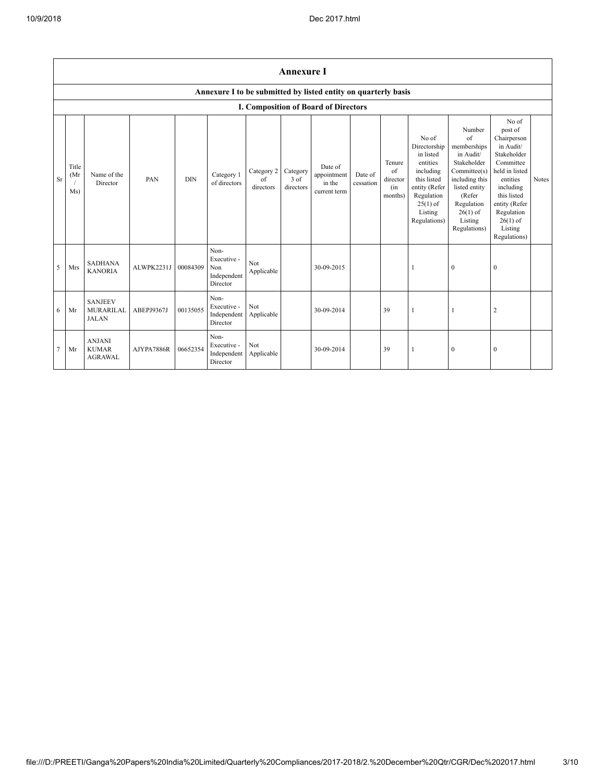|    | <b>Annexure I</b>    |                                                    |            |            |                                                                |                               |                               |                                                  |                      |                                            |                                                                                                                                                    |                                                                                                                                                                             |                                                                                                                                                                                                            |       |
|----|----------------------|----------------------------------------------------|------------|------------|----------------------------------------------------------------|-------------------------------|-------------------------------|--------------------------------------------------|----------------------|--------------------------------------------|----------------------------------------------------------------------------------------------------------------------------------------------------|-----------------------------------------------------------------------------------------------------------------------------------------------------------------------------|------------------------------------------------------------------------------------------------------------------------------------------------------------------------------------------------------------|-------|
|    |                      |                                                    |            |            | Annexure I to be submitted by listed entity on quarterly basis |                               |                               |                                                  |                      |                                            |                                                                                                                                                    |                                                                                                                                                                             |                                                                                                                                                                                                            |       |
|    |                      |                                                    |            |            |                                                                |                               |                               | I. Composition of Board of Directors             |                      |                                            |                                                                                                                                                    |                                                                                                                                                                             |                                                                                                                                                                                                            |       |
| Sr | Title<br>(Mr)<br>Ms) | Name of the<br>Director                            | PAN        | <b>DIN</b> | Category 1<br>of directors                                     | Category 2<br>of<br>directors | Category<br>3 of<br>directors | Date of<br>appointment<br>in the<br>current term | Date of<br>cessation | Tenure<br>of<br>director<br>(in<br>months) | No of<br>Directorship<br>in listed<br>entities<br>including<br>this listed<br>entity (Refer<br>Regulation<br>$25(1)$ of<br>Listing<br>Regulations) | Number<br>of<br>memberships<br>in Audit/<br>Stakeholder<br>Committee(s)<br>including this<br>listed entity<br>(Refer<br>Regulation<br>$26(1)$ of<br>Listing<br>Regulations) | No of<br>post of<br>Chairperson<br>in Audit/<br>Stakeholder<br>Committee<br>held in listed<br>entities<br>including<br>this listed<br>entity (Refer<br>Regulation<br>$26(1)$ of<br>Listing<br>Regulations) | Notes |
| 5  | Mrs                  | <b>SADHANA</b><br><b>KANORIA</b>                   | ALWPK2231J | 00084309   | Non-<br>Executive -<br>Non<br>Independent<br>Director          | Not<br>Applicable             |                               | 30-09-2015                                       |                      |                                            |                                                                                                                                                    | $\bf{0}$                                                                                                                                                                    | $\mathbf{0}$                                                                                                                                                                                               |       |
| 6  | Mr                   | <b>SANJEEV</b><br><b>MURARILAL</b><br><b>JALAN</b> | ABEPJ9367J | 00135055   | Non-<br>Executive -<br>Independent<br>Director                 | <b>Not</b><br>Applicable      |                               | 30-09-2014                                       |                      | 39                                         |                                                                                                                                                    |                                                                                                                                                                             | $\overline{2}$                                                                                                                                                                                             |       |
| 7  | Mr                   | <b>ANJANI</b><br><b>KUMAR</b><br><b>AGRAWAL</b>    | AJYPA7886R | 06652354   | Non-<br>Executive -<br>Independent<br>Director                 | Not<br>Applicable             |                               | 30-09-2014                                       |                      | 39                                         | -1                                                                                                                                                 | $\bf{0}$                                                                                                                                                                    | $\mathbf{0}$                                                                                                                                                                                               |       |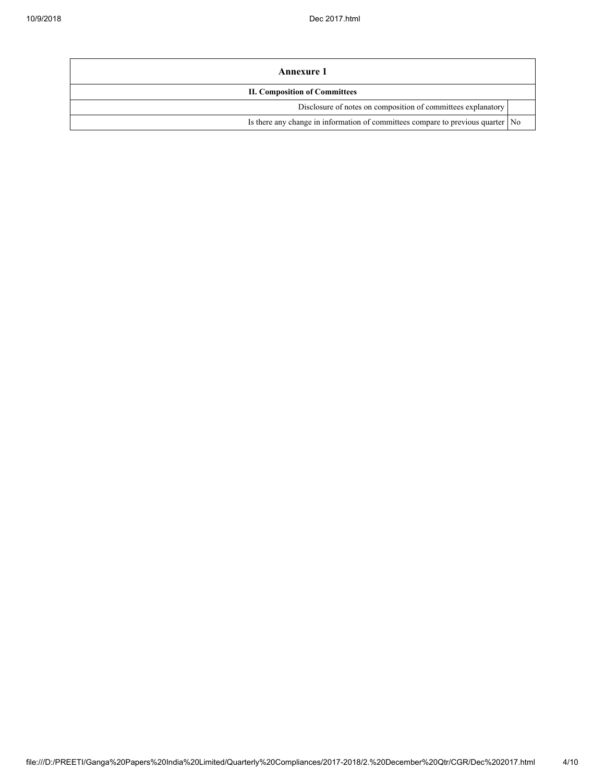| Annexure 1                                                                        |  |  |  |  |
|-----------------------------------------------------------------------------------|--|--|--|--|
| <b>II. Composition of Committees</b>                                              |  |  |  |  |
| Disclosure of notes on composition of committees explanatory                      |  |  |  |  |
| Is there any change in information of committees compare to previous quarter   No |  |  |  |  |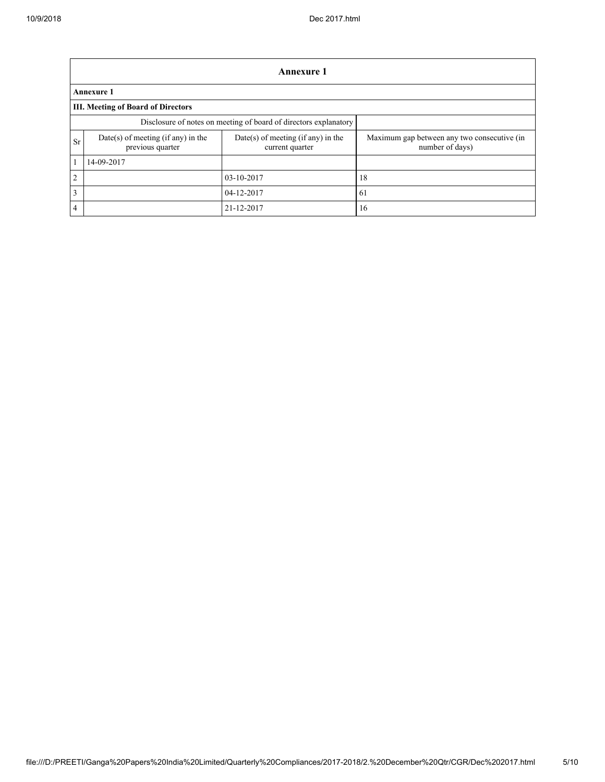|                | Annexure 1                                                       |                                                         |                                                                |  |  |  |  |
|----------------|------------------------------------------------------------------|---------------------------------------------------------|----------------------------------------------------------------|--|--|--|--|
|                | <b>Annexure 1</b>                                                |                                                         |                                                                |  |  |  |  |
|                | <b>III. Meeting of Board of Directors</b>                        |                                                         |                                                                |  |  |  |  |
|                | Disclosure of notes on meeting of board of directors explanatory |                                                         |                                                                |  |  |  |  |
| <b>Sr</b>      | Date(s) of meeting (if any) in the<br>previous quarter           | $Date(s)$ of meeting (if any) in the<br>current quarter | Maximum gap between any two consecutive (in<br>number of days) |  |  |  |  |
|                | 14-09-2017                                                       |                                                         |                                                                |  |  |  |  |
| $\overline{2}$ |                                                                  | 03-10-2017                                              | 18                                                             |  |  |  |  |
| 3              |                                                                  | 04-12-2017                                              | 61                                                             |  |  |  |  |
| $\overline{4}$ |                                                                  | 21-12-2017                                              | 16                                                             |  |  |  |  |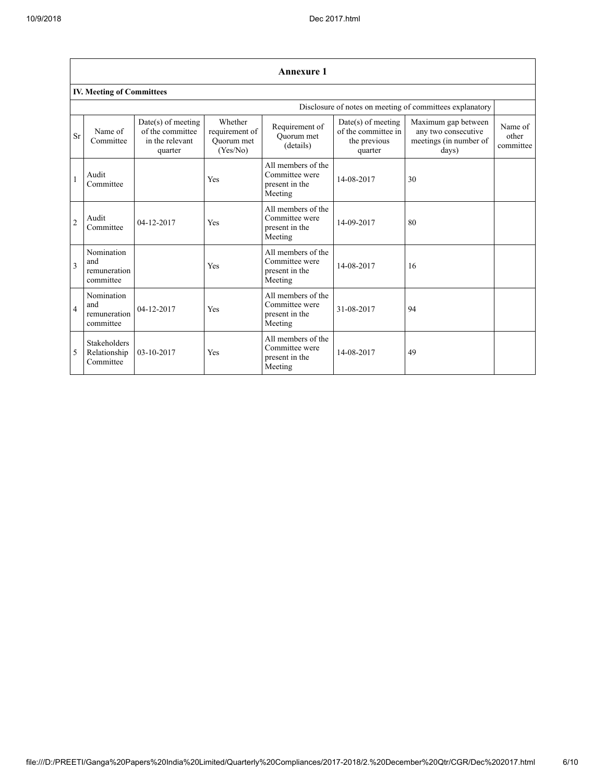|                | <b>Annexure 1</b>                                        |                                                                        |                                                     |                                                                   |                                                                        |                                                                               |                               |  |  |  |
|----------------|----------------------------------------------------------|------------------------------------------------------------------------|-----------------------------------------------------|-------------------------------------------------------------------|------------------------------------------------------------------------|-------------------------------------------------------------------------------|-------------------------------|--|--|--|
|                | <b>IV. Meeting of Committees</b>                         |                                                                        |                                                     |                                                                   |                                                                        |                                                                               |                               |  |  |  |
|                | Disclosure of notes on meeting of committees explanatory |                                                                        |                                                     |                                                                   |                                                                        |                                                                               |                               |  |  |  |
| <b>Sr</b>      | Name of<br>Committee                                     | $Date(s)$ of meeting<br>of the committee<br>in the relevant<br>quarter | Whether<br>requirement of<br>Ouorum met<br>(Yes/No) | Requirement of<br>Ouorum met<br>(details)                         | $Date(s)$ of meeting<br>of the committee in<br>the previous<br>quarter | Maximum gap between<br>any two consecutive<br>meetings (in number of<br>days) | Name of<br>other<br>committee |  |  |  |
| 1              | Audit<br>Committee                                       |                                                                        | Yes                                                 | All members of the<br>Committee were<br>present in the<br>Meeting | 14-08-2017                                                             | 30                                                                            |                               |  |  |  |
| $\overline{2}$ | Audit<br>Committee                                       | 04-12-2017                                                             | Yes                                                 | All members of the<br>Committee were<br>present in the<br>Meeting | 14-09-2017                                                             | 80                                                                            |                               |  |  |  |
| 3              | Nomination<br>and<br>remuneration<br>committee           |                                                                        | Yes                                                 | All members of the<br>Committee were<br>present in the<br>Meeting | 14-08-2017                                                             | 16                                                                            |                               |  |  |  |
| $\overline{4}$ | Nomination<br>and<br>remuneration<br>committee           | 04-12-2017                                                             | Yes                                                 | All members of the<br>Committee were<br>present in the<br>Meeting | 31-08-2017                                                             | 94                                                                            |                               |  |  |  |
| 5              | <b>Stakeholders</b><br>Relationship<br>Committee         | 03-10-2017                                                             | Yes                                                 | All members of the<br>Committee were<br>present in the<br>Meeting | 14-08-2017                                                             | 49                                                                            |                               |  |  |  |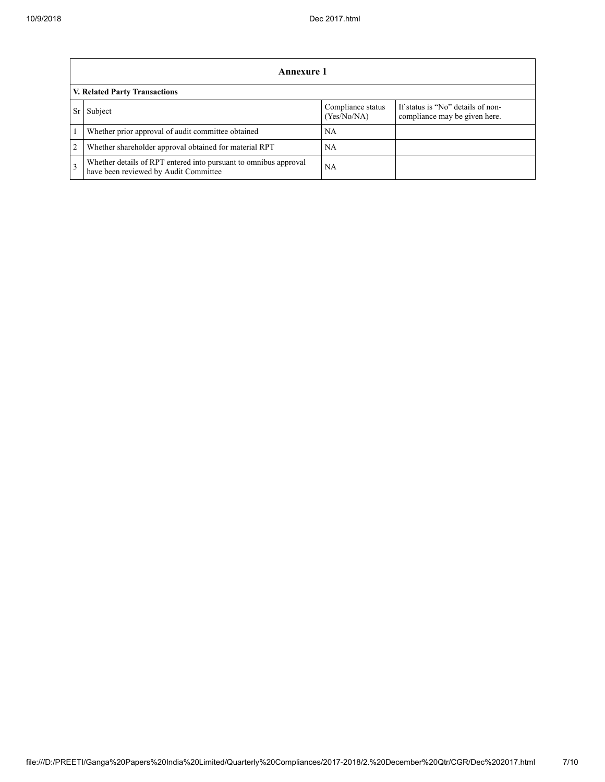|                                                                                                                   | Annexure 1                                                                                                |    |  |  |  |  |  |  |
|-------------------------------------------------------------------------------------------------------------------|-----------------------------------------------------------------------------------------------------------|----|--|--|--|--|--|--|
|                                                                                                                   | V. Related Party Transactions                                                                             |    |  |  |  |  |  |  |
| If status is "No" details of non-<br>Compliance status<br>Subject<br>compliance may be given here.<br>(Yes/No/NA) |                                                                                                           |    |  |  |  |  |  |  |
|                                                                                                                   | Whether prior approval of audit committee obtained                                                        | NA |  |  |  |  |  |  |
| $\overline{2}$                                                                                                    | Whether shareholder approval obtained for material RPT                                                    | NA |  |  |  |  |  |  |
| $\mathcal{R}$                                                                                                     | Whether details of RPT entered into pursuant to omnibus approval<br>have been reviewed by Audit Committee | NA |  |  |  |  |  |  |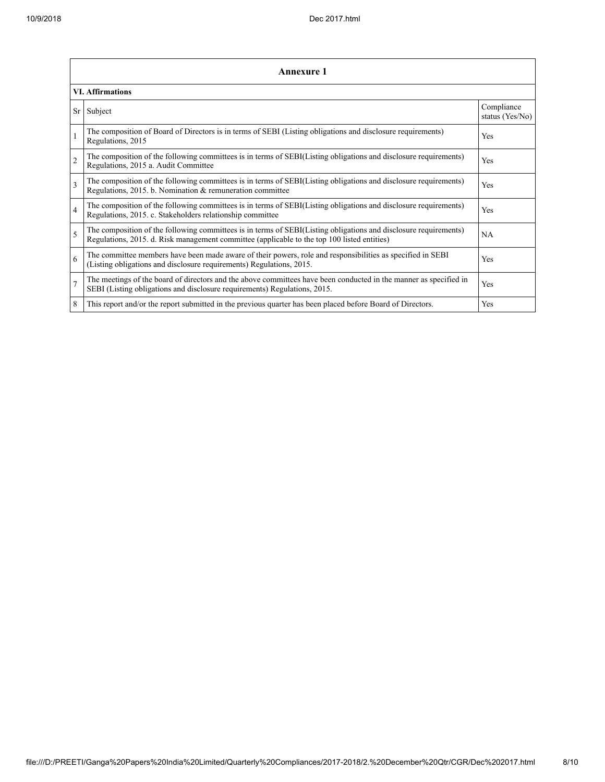|                | Annexure 1                                                                                                                                                                                                      |                               |  |  |  |  |
|----------------|-----------------------------------------------------------------------------------------------------------------------------------------------------------------------------------------------------------------|-------------------------------|--|--|--|--|
|                | <b>VI. Affirmations</b>                                                                                                                                                                                         |                               |  |  |  |  |
| Sr             | Subject                                                                                                                                                                                                         | Compliance<br>status (Yes/No) |  |  |  |  |
|                | The composition of Board of Directors is in terms of SEBI (Listing obligations and disclosure requirements)<br>Regulations, 2015                                                                                | Yes                           |  |  |  |  |
| $\overline{2}$ | The composition of the following committees is in terms of SEBI(Listing obligations and disclosure requirements)<br>Regulations, 2015 a. Audit Committee                                                        | Yes                           |  |  |  |  |
| $\mathbf{3}$   | The composition of the following committees is in terms of SEBI(Listing obligations and disclosure requirements)<br>Regulations, 2015. b. Nomination & remuneration committee                                   | Yes                           |  |  |  |  |
| $\overline{4}$ | The composition of the following committees is in terms of SEBI(Listing obligations and disclosure requirements)<br>Regulations, 2015. c. Stakeholders relationship committee                                   | Yes                           |  |  |  |  |
| 5              | The composition of the following committees is in terms of SEBI(Listing obligations and disclosure requirements)<br>Regulations, 2015. d. Risk management committee (applicable to the top 100 listed entities) | <b>NA</b>                     |  |  |  |  |
| 6              | The committee members have been made aware of their powers, role and responsibilities as specified in SEBI<br>(Listing obligations and disclosure requirements) Regulations, 2015.                              | Yes                           |  |  |  |  |
| $\overline{7}$ | The meetings of the board of directors and the above committees have been conducted in the manner as specified in<br>SEBI (Listing obligations and disclosure requirements) Regulations, 2015.                  | Yes                           |  |  |  |  |
| 8              | This report and/or the report submitted in the previous quarter has been placed before Board of Directors.                                                                                                      | Yes                           |  |  |  |  |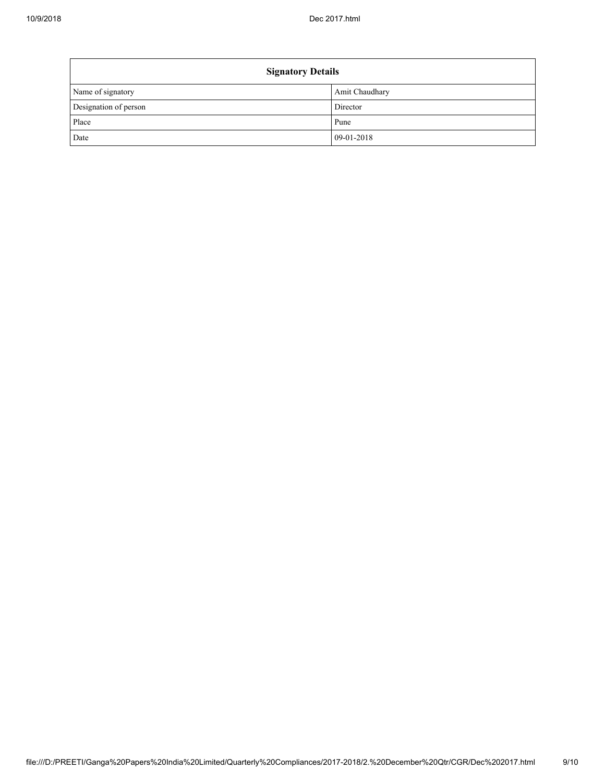| <b>Signatory Details</b> |                |  |  |  |  |
|--------------------------|----------------|--|--|--|--|
| Name of signatory        | Amit Chaudhary |  |  |  |  |
| Designation of person    | Director       |  |  |  |  |
| Place                    | Pune           |  |  |  |  |
| Date                     | 09-01-2018     |  |  |  |  |